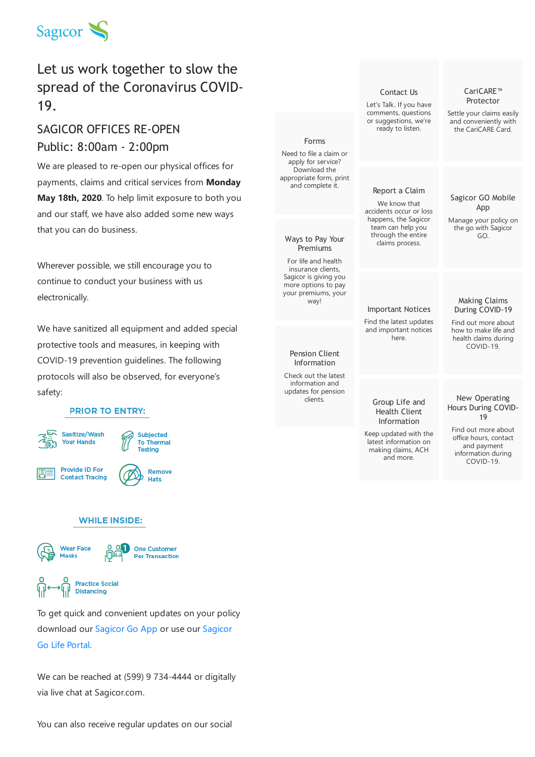

## Let us work together to slow the spread of the Coronavirus COVID-19.

### SAGICOR OFFICES RE-OPEN Public: 8:00am - 2:00pm

We are pleased to re-open our physical offices for payments, claims and critical services from **Monday May 18th, 2020**. To help limit exposure to both you and our staff, we have also added some new ways that you can do business.

Wherever possible, we still encourage you to continue to conduct your business with us electronically.

We have sanitized all equipment and added special protective tools and measures, in keeping with COVID-19 prevention guidelines. The following protocols will also be observed, for everyone's safety:

#### **PRIOR TO ENTRY:**



#### **WHILE INSIDE:**



To get quick and convenient updates on your policy [download](https://client.sagicorlife.com/wps/portal) our [Sagicor](https://www.sagicor.com/en-CC/Client-Care/Sagicor-GO-Mobile-App) Go App or use our Sagicor Go Life Portal.

We can be reached at (599) 9 734-4444 or digitally via live chat at Sagicor.com.



You can also receive regular updates on our social